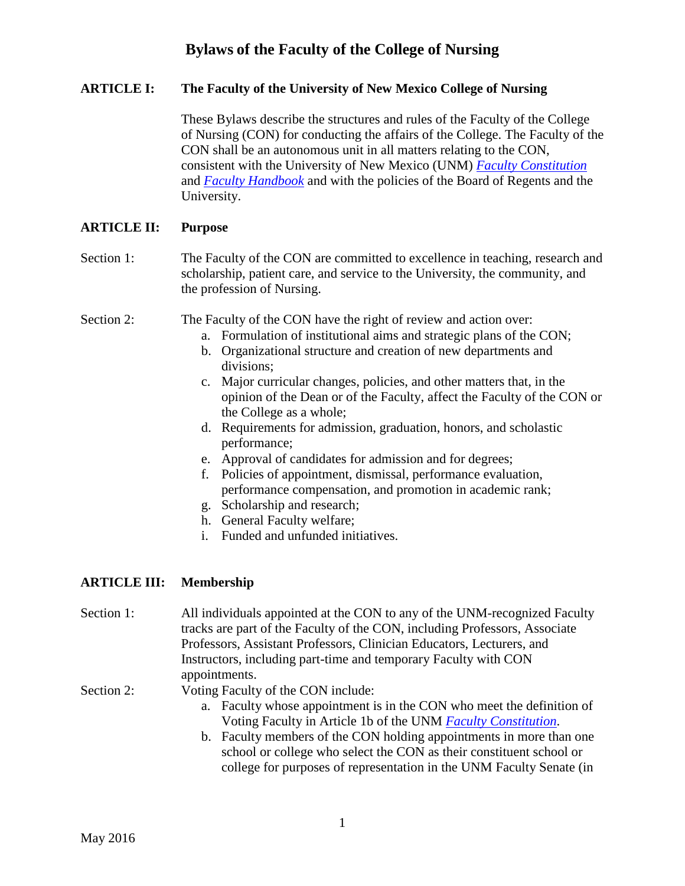### **ARTICLE I: The Faculty of the University of New Mexico College of Nursing**

These Bylaws describe the structures and rules of the Faculty of the College of Nursing (CON) for conducting the affairs of the College. The Faculty of the CON shall be an autonomous unit in all matters relating to the CON, consistent with the University of New Mexico (UNM) *[Faculty Constitution](http://handbook.unm.edu/policies/section-a/faculty/a51.html)* and *[Faculty Handbook](http://handbook.unm.edu/policies/)* and with the policies of the Board of Regents and the University.

### **ARTICLE II: Purpose**

Section 1: The Faculty of the CON are committed to excellence in teaching, research and scholarship, patient care, and service to the University, the community, and the profession of Nursing.

Section 2: The Faculty of the CON have the right of review and action over:

- a. Formulation of institutional aims and strategic plans of the CON;
- b. Organizational structure and creation of new departments and divisions;
- c. Major curricular changes, policies, and other matters that, in the opinion of the Dean or of the Faculty, affect the Faculty of the CON or the College as a whole;
- d. Requirements for admission, graduation, honors, and scholastic performance;
- e. Approval of candidates for admission and for degrees;
- f. Policies of appointment, dismissal, performance evaluation, performance compensation, and promotion in academic rank;
- g. Scholarship and research;
- h. General Faculty welfare;
- i. Funded and unfunded initiatives.

### **ARTICLE III: Membership**

Section 1: All individuals appointed at the CON to any of the UNM-recognized Faculty tracks are part of the Faculty of the CON, including Professors, Associate Professors, Assistant Professors, Clinician Educators, Lecturers, and Instructors, including part-time and temporary Faculty with CON appointments.

Section 2: Voting Faculty of the CON include:

- a. Faculty whose appointment is in the CON who meet the definition of Voting Faculty in Article 1b of the UNM *[Faculty Constitution](http://handbook.unm.edu/policies/section-a/faculty/a51.html)*.
- b. Faculty members of the CON holding appointments in more than one school or college who select the CON as their constituent school or college for purposes of representation in the UNM Faculty Senate (in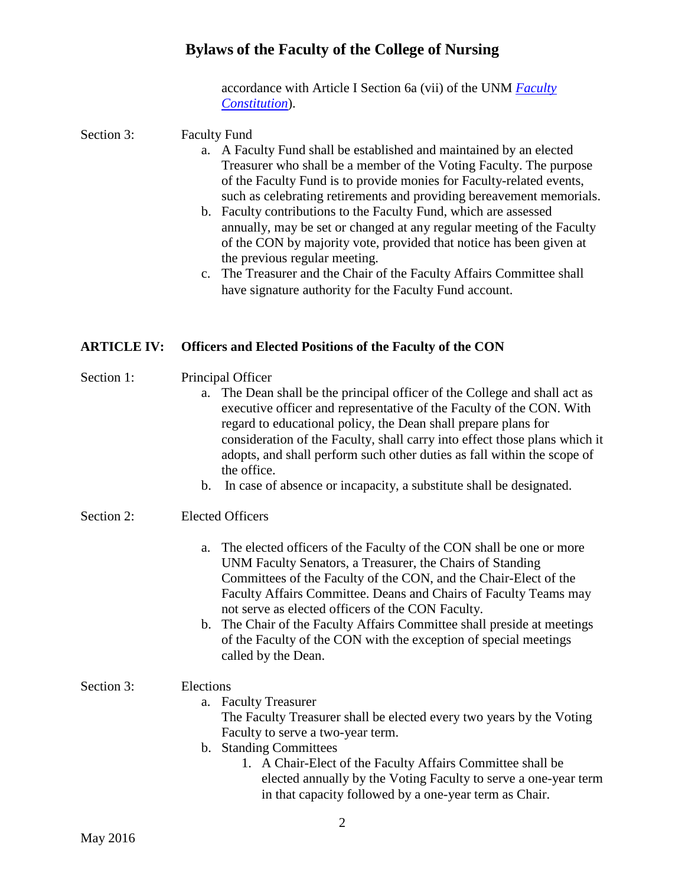accordance with Article I Section 6a (vii) of the UNM *[Faculty](http://handbook.unm.edu/policies/section-a/faculty/a51.html)  [Constitution](http://handbook.unm.edu/policies/section-a/faculty/a51.html)*).

# Section 3: Faculty Fund a. A Faculty Fund shall be established and maintained by an elected Treasurer who shall be a member of the Voting Faculty. The purpose of the Faculty Fund is to provide monies for Faculty-related events, such as celebrating retirements and providing bereavement memorials. b. Faculty contributions to the Faculty Fund, which are assessed annually, may be set or changed at any regular meeting of the Faculty of the CON by majority vote, provided that notice has been given at the previous regular meeting. c. The Treasurer and the Chair of the Faculty Affairs Committee shall have signature authority for the Faculty Fund account. **ARTICLE IV: Officers and Elected Positions of the Faculty of the CON** Section 1: Principal Officer a. The Dean shall be the principal officer of the College and shall act as executive officer and representative of the Faculty of the CON. With regard to educational policy, the Dean shall prepare plans for consideration of the Faculty, shall carry into effect those plans which it adopts, and shall perform such other duties as fall within the scope of the office. b. In case of absence or incapacity, a substitute shall be designated. Section 2: Elected Officers a. The elected officers of the Faculty of the CON shall be one or more UNM Faculty Senators, a Treasurer, the Chairs of Standing Committees of the Faculty of the CON, and the Chair-Elect of the Faculty Affairs Committee. Deans and Chairs of Faculty Teams may not serve as elected officers of the CON Faculty. b. The Chair of the Faculty Affairs Committee shall preside at meetings of the Faculty of the CON with the exception of special meetings called by the Dean. Section 3: Elections a. Faculty Treasurer The Faculty Treasurer shall be elected every two years by the Voting Faculty to serve a two-year term. b. Standing Committees 1. A Chair-Elect of the Faculty Affairs Committee shall be elected annually by the Voting Faculty to serve a one-year term in that capacity followed by a one-year term as Chair.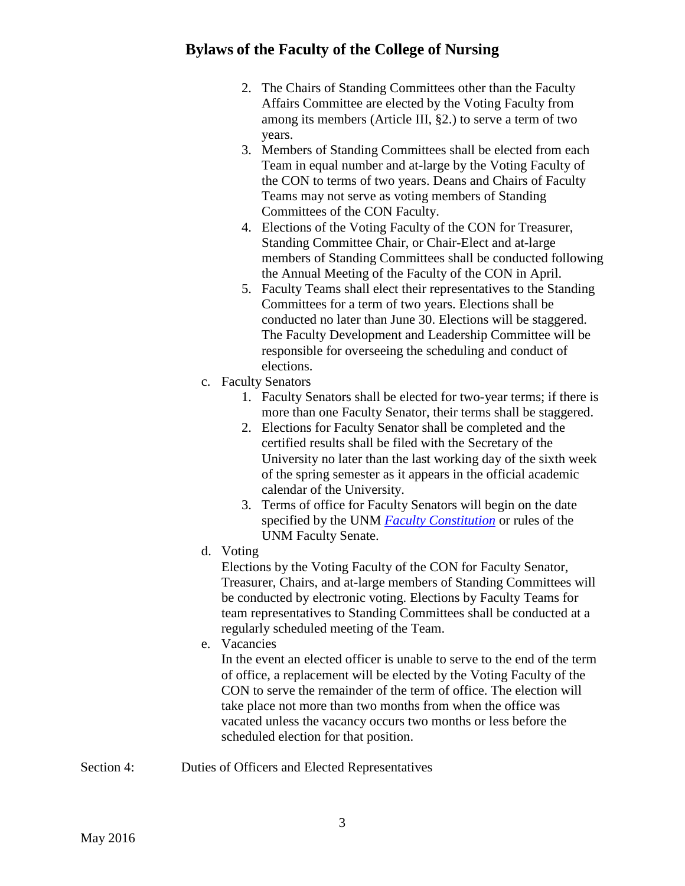- 2. The Chairs of Standing Committees other than the Faculty Affairs Committee are elected by the Voting Faculty from among its members (Article III, §2.) to serve a term of two years.
- 3. Members of Standing Committees shall be elected from each Team in equal number and at-large by the Voting Faculty of the CON to terms of two years. Deans and Chairs of Faculty Teams may not serve as voting members of Standing Committees of the CON Faculty.
- 4. Elections of the Voting Faculty of the CON for Treasurer, Standing Committee Chair, or Chair-Elect and at-large members of Standing Committees shall be conducted following the Annual Meeting of the Faculty of the CON in April.
- 5. Faculty Teams shall elect their representatives to the Standing Committees for a term of two years. Elections shall be conducted no later than June 30. Elections will be staggered. The Faculty Development and Leadership Committee will be responsible for overseeing the scheduling and conduct of elections.
- c. Faculty Senators
	- 1. Faculty Senators shall be elected for two-year terms; if there is more than one Faculty Senator, their terms shall be staggered.
	- 2. Elections for Faculty Senator shall be completed and the certified results shall be filed with the Secretary of the University no later than the last working day of the sixth week of the spring semester as it appears in the official academic calendar of the University.
	- 3. Terms of office for Faculty Senators will begin on the date specified by the UNM *[Faculty Constitution](http://handbook.unm.edu/policies/section-a/faculty/a51.html)* or rules of the UNM Faculty Senate.
- d. Voting

Elections by the Voting Faculty of the CON for Faculty Senator, Treasurer, Chairs, and at-large members of Standing Committees will be conducted by electronic voting. Elections by Faculty Teams for team representatives to Standing Committees shall be conducted at a regularly scheduled meeting of the Team.

e. Vacancies

In the event an elected officer is unable to serve to the end of the term of office, a replacement will be elected by the Voting Faculty of the CON to serve the remainder of the term of office. The election will take place not more than two months from when the office was vacated unless the vacancy occurs two months or less before the scheduled election for that position.

Section 4: Duties of Officers and Elected Representatives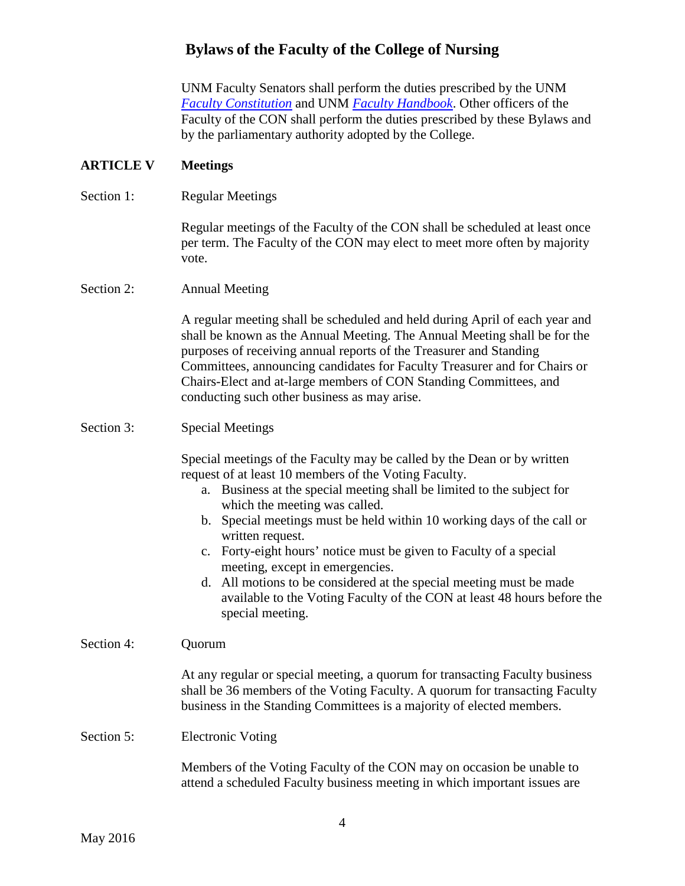UNM Faculty Senators shall perform the duties prescribed by the UNM *[Faculty Constitution](http://handbook.unm.edu/policies/section-a/faculty/a51.html)* and UNM *[Faculty Handbook](http://handbook.unm.edu/policies/)*. Other officers of the Faculty of the CON shall perform the duties prescribed by these Bylaws and by the parliamentary authority adopted by the College.

### **ARTICLE V Meetings**

Section 1: Regular Meetings

Regular meetings of the Faculty of the CON shall be scheduled at least once per term. The Faculty of the CON may elect to meet more often by majority vote.

#### Section 2: Annual Meeting

A regular meeting shall be scheduled and held during April of each year and shall be known as the Annual Meeting. The Annual Meeting shall be for the purposes of receiving annual reports of the Treasurer and Standing Committees, announcing candidates for Faculty Treasurer and for Chairs or Chairs-Elect and at-large members of CON Standing Committees, and conducting such other business as may arise.

#### Section 3: Special Meetings

Special meetings of the Faculty may be called by the Dean or by written request of at least 10 members of the Voting Faculty.

- a. Business at the special meeting shall be limited to the subject for which the meeting was called.
- b. Special meetings must be held within 10 working days of the call or written request.
- c. Forty-eight hours' notice must be given to Faculty of a special meeting, except in emergencies.
- d. All motions to be considered at the special meeting must be made available to the Voting Faculty of the CON at least 48 hours before the special meeting.

Section 4: Quorum

At any regular or special meeting, a quorum for transacting Faculty business shall be 36 members of the Voting Faculty. A quorum for transacting Faculty business in the Standing Committees is a majority of elected members.

#### Section 5: Electronic Voting

Members of the Voting Faculty of the CON may on occasion be unable to attend a scheduled Faculty business meeting in which important issues are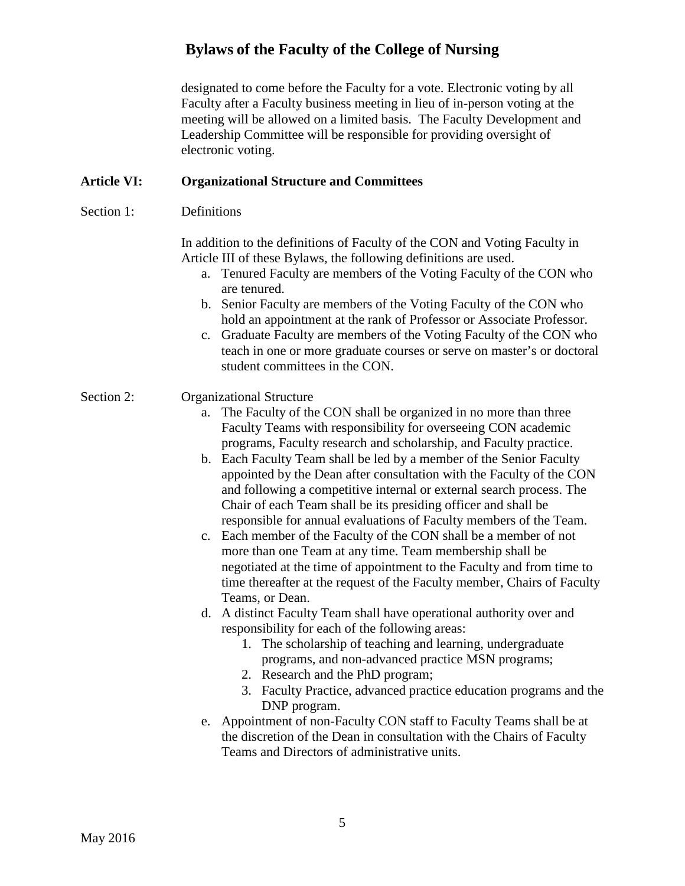designated to come before the Faculty for a vote. Electronic voting by all Faculty after a Faculty business meeting in lieu of in-person voting at the meeting will be allowed on a limited basis. The Faculty Development and Leadership Committee will be responsible for providing oversight of electronic voting.

### **Article VI: Organizational Structure and Committees**

### Section 1: Definitions

In addition to the definitions of Faculty of the CON and Voting Faculty in Article III of these Bylaws, the following definitions are used.

- a. Tenured Faculty are members of the Voting Faculty of the CON who are tenured.
- b. Senior Faculty are members of the Voting Faculty of the CON who hold an appointment at the rank of Professor or Associate Professor.
- c. Graduate Faculty are members of the Voting Faculty of the CON who teach in one or more graduate courses or serve on master's or doctoral student committees in the CON.

### Section 2: Organizational Structure

- a. The Faculty of the CON shall be organized in no more than three Faculty Teams with responsibility for overseeing CON academic programs, Faculty research and scholarship, and Faculty practice.
- b. Each Faculty Team shall be led by a member of the Senior Faculty appointed by the Dean after consultation with the Faculty of the CON and following a competitive internal or external search process. The Chair of each Team shall be its presiding officer and shall be responsible for annual evaluations of Faculty members of the Team.
- c. Each member of the Faculty of the CON shall be a member of not more than one Team at any time. Team membership shall be negotiated at the time of appointment to the Faculty and from time to time thereafter at the request of the Faculty member, Chairs of Faculty Teams, or Dean.
- d. A distinct Faculty Team shall have operational authority over and responsibility for each of the following areas:
	- 1. The scholarship of teaching and learning, undergraduate programs, and non-advanced practice MSN programs;
	- 2. Research and the PhD program;
	- 3. Faculty Practice, advanced practice education programs and the DNP program.
- e. Appointment of non-Faculty CON staff to Faculty Teams shall be at the discretion of the Dean in consultation with the Chairs of Faculty Teams and Directors of administrative units.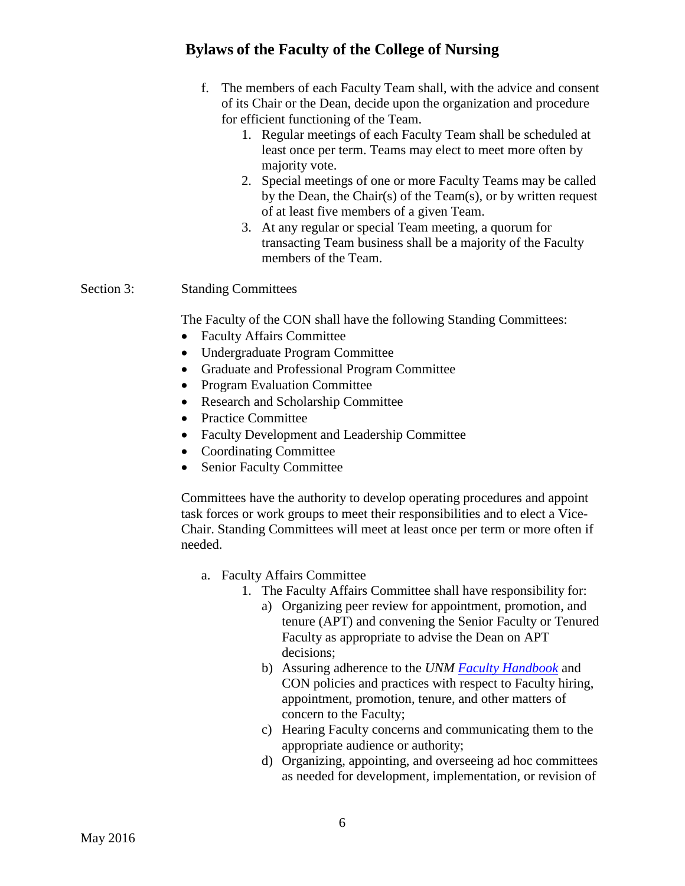- f. The members of each Faculty Team shall, with the advice and consent of its Chair or the Dean, decide upon the organization and procedure for efficient functioning of the Team.
	- 1. Regular meetings of each Faculty Team shall be scheduled at least once per term. Teams may elect to meet more often by majority vote.
	- 2. Special meetings of one or more Faculty Teams may be called by the Dean, the Chair(s) of the Team(s), or by written request of at least five members of a given Team.
	- 3. At any regular or special Team meeting, a quorum for transacting Team business shall be a majority of the Faculty members of the Team.

### Section 3: Standing Committees

The Faculty of the CON shall have the following Standing Committees:

- Faculty Affairs Committee
- Undergraduate Program Committee
- Graduate and Professional Program Committee
- Program Evaluation Committee
- Research and Scholarship Committee
- Practice Committee
- Faculty Development and Leadership Committee
- Coordinating Committee
- Senior Faculty Committee

Committees have the authority to develop operating procedures and appoint task forces or work groups to meet their responsibilities and to elect a Vice-Chair. Standing Committees will meet at least once per term or more often if needed.

- a. Faculty Affairs Committee
	- 1. The Faculty Affairs Committee shall have responsibility for:
		- a) Organizing peer review for appointment, promotion, and tenure (APT) and convening the Senior Faculty or Tenured Faculty as appropriate to advise the Dean on APT decisions;
		- b) Assuring adherence to the *UNM [Faculty Handbook](http://handbook.unm.edu/policies/)* and CON policies and practices with respect to Faculty hiring, appointment, promotion, tenure, and other matters of concern to the Faculty;
		- c) Hearing Faculty concerns and communicating them to the appropriate audience or authority;
		- d) Organizing, appointing, and overseeing ad hoc committees as needed for development, implementation, or revision of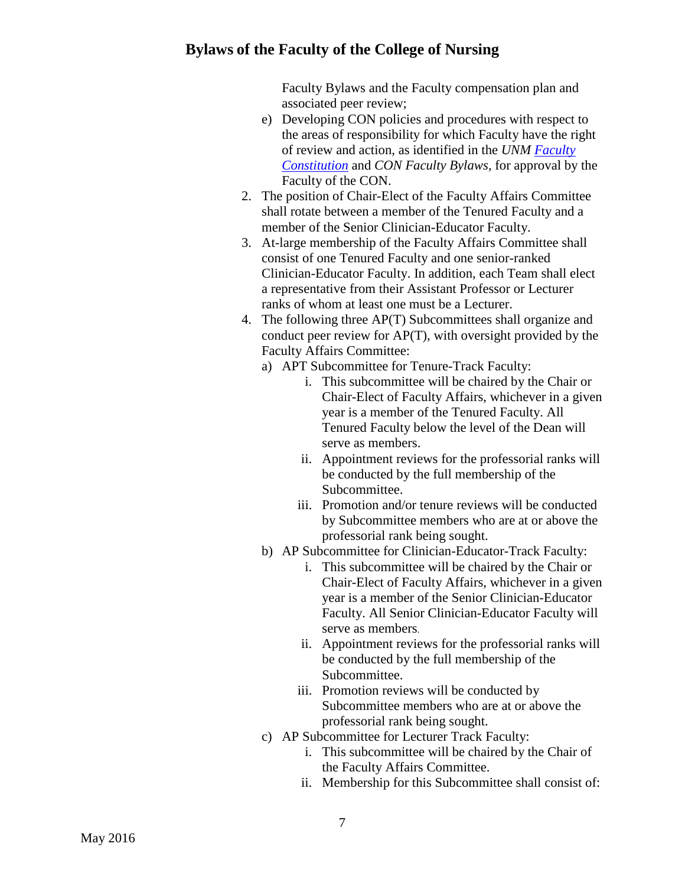Faculty Bylaws and the Faculty compensation plan and associated peer review;

- e) Developing CON policies and procedures with respect to the areas of responsibility for which Faculty have the right of review and action, as identified in the *UNM [Faculty](http://handbook.unm.edu/policies/section-a/faculty/a51.html)  [Constitution](http://handbook.unm.edu/policies/section-a/faculty/a51.html)* and *CON Faculty Bylaws,* for approval by the Faculty of the CON.
- 2. The position of Chair-Elect of the Faculty Affairs Committee shall rotate between a member of the Tenured Faculty and a member of the Senior Clinician-Educator Faculty.
- 3. At-large membership of the Faculty Affairs Committee shall consist of one Tenured Faculty and one senior-ranked Clinician-Educator Faculty. In addition, each Team shall elect a representative from their Assistant Professor or Lecturer ranks of whom at least one must be a Lecturer.
- 4. The following three AP(T) Subcommittees shall organize and conduct peer review for AP(T), with oversight provided by the Faculty Affairs Committee:
	- a) APT Subcommittee for Tenure-Track Faculty:
		- i. This subcommittee will be chaired by the Chair or Chair-Elect of Faculty Affairs, whichever in a given year is a member of the Tenured Faculty. All Tenured Faculty below the level of the Dean will serve as members.
		- ii. Appointment reviews for the professorial ranks will be conducted by the full membership of the Subcommittee.
		- iii. Promotion and/or tenure reviews will be conducted by Subcommittee members who are at or above the professorial rank being sought.
	- b) AP Subcommittee for Clinician-Educator-Track Faculty:
		- i. This subcommittee will be chaired by the Chair or Chair-Elect of Faculty Affairs, whichever in a given year is a member of the Senior Clinician-Educator Faculty. All Senior Clinician-Educator Faculty will serve as members.
		- ii. Appointment reviews for the professorial ranks will be conducted by the full membership of the Subcommittee.
		- iii. Promotion reviews will be conducted by Subcommittee members who are at or above the professorial rank being sought.
	- c) AP Subcommittee for Lecturer Track Faculty:
		- i. This subcommittee will be chaired by the Chair of the Faculty Affairs Committee.
		- ii. Membership for this Subcommittee shall consist of: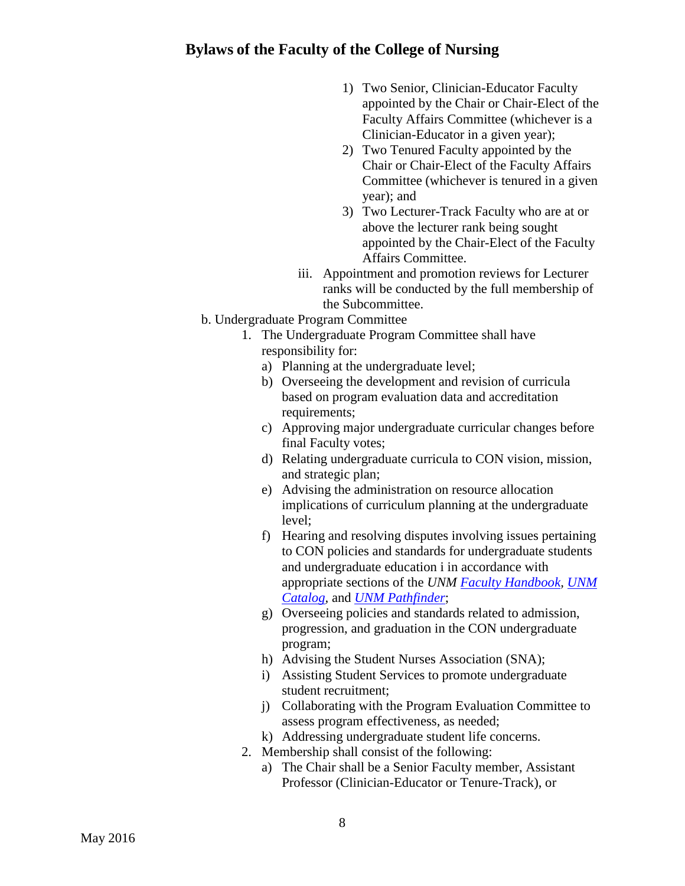- 1) Two Senior, Clinician-Educator Faculty appointed by the Chair or Chair-Elect of the Faculty Affairs Committee (whichever is a Clinician-Educator in a given year);
- 2) Two Tenured Faculty appointed by the Chair or Chair-Elect of the Faculty Affairs Committee (whichever is tenured in a given year); and
- 3) Two Lecturer-Track Faculty who are at or above the lecturer rank being sought appointed by the Chair-Elect of the Faculty Affairs Committee.
- iii. Appointment and promotion reviews for Lecturer ranks will be conducted by the full membership of the Subcommittee.
- b. Undergraduate Program Committee
	- 1. The Undergraduate Program Committee shall have responsibility for:
		- a) Planning at the undergraduate level;
		- b) Overseeing the development and revision of curricula based on program evaluation data and accreditation requirements;
		- c) Approving major undergraduate curricular changes before final Faculty votes;
		- d) Relating undergraduate curricula to CON vision, mission, and strategic plan;
		- e) Advising the administration on resource allocation implications of curriculum planning at the undergraduate level;
		- f) Hearing and resolving disputes involving issues pertaining to CON policies and standards for undergraduate students and undergraduate education i in accordance with appropriate sections of the *UNM [Faculty Handbook,](http://handbook.unm.edu/policies/) [UNM](http://catalog.unm.edu/)  [Catalog,](http://catalog.unm.edu/)* and *[UNM Pathfinder](http://pathfinder.unm.edu/)*;
		- g) Overseeing policies and standards related to admission, progression, and graduation in the CON undergraduate program;
		- h) Advising the Student Nurses Association (SNA);
		- i) Assisting Student Services to promote undergraduate student recruitment;
		- j) Collaborating with the Program Evaluation Committee to assess program effectiveness, as needed;
		- k) Addressing undergraduate student life concerns.
	- 2. Membership shall consist of the following:
		- a) The Chair shall be a Senior Faculty member, Assistant Professor (Clinician-Educator or Tenure-Track), or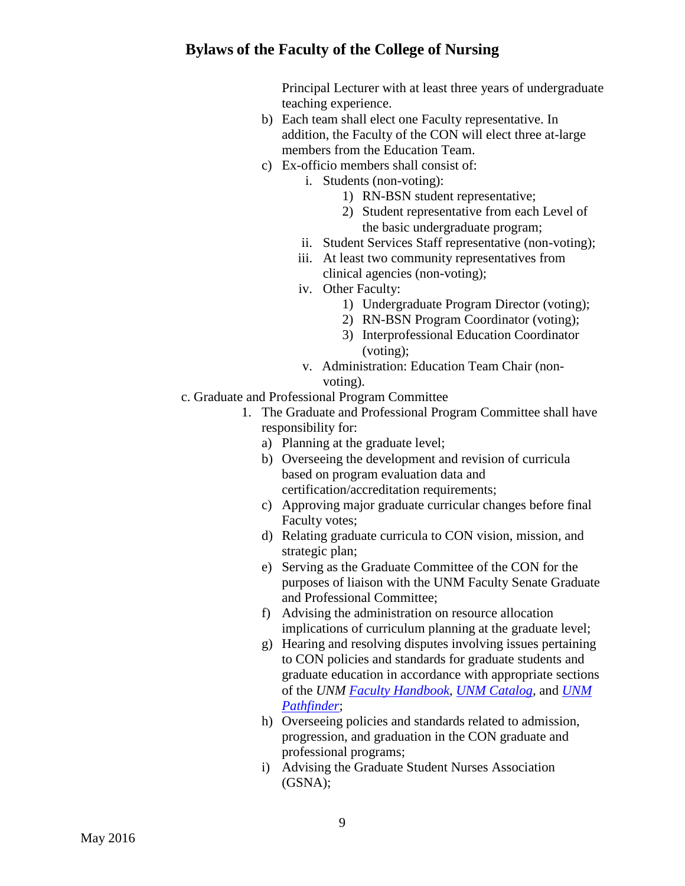Principal Lecturer with at least three years of undergraduate teaching experience.

- b) Each team shall elect one Faculty representative. In addition, the Faculty of the CON will elect three at-large members from the Education Team.
- c) Ex-officio members shall consist of:
	- i. Students (non-voting):
		- 1) RN-BSN student representative;
		- 2) Student representative from each Level of the basic undergraduate program;
	- ii. Student Services Staff representative (non-voting);
	- iii. At least two community representatives from clinical agencies (non-voting);
	- iv. Other Faculty:
		- 1) Undergraduate Program Director (voting);
		- 2) RN-BSN Program Coordinator (voting);
		- 3) Interprofessional Education Coordinator (voting);
	- v. Administration: Education Team Chair (nonvoting).
- c. Graduate and Professional Program Committee
	- 1. The Graduate and Professional Program Committee shall have responsibility for:
		- a) Planning at the graduate level;
		- b) Overseeing the development and revision of curricula based on program evaluation data and certification/accreditation requirements;
		- c) Approving major graduate curricular changes before final Faculty votes;
		- d) Relating graduate curricula to CON vision, mission, and strategic plan;
		- e) Serving as the Graduate Committee of the CON for the purposes of liaison with the UNM Faculty Senate Graduate and Professional Committee;
		- f) Advising the administration on resource allocation implications of curriculum planning at the graduate level;
		- g) Hearing and resolving disputes involving issues pertaining to CON policies and standards for graduate students and graduate education in accordance with appropriate sections of the *UNM [Faculty Handbook,](http://handbook.unm.edu/policies/) [UNM Catalog,](http://catalog.unm.edu/)* and *[UNM](http://pathfinder.unm.edu/)  [Pathfinder](http://pathfinder.unm.edu/)*;
		- h) Overseeing policies and standards related to admission, progression, and graduation in the CON graduate and professional programs;
		- i) Advising the Graduate Student Nurses Association (GSNA);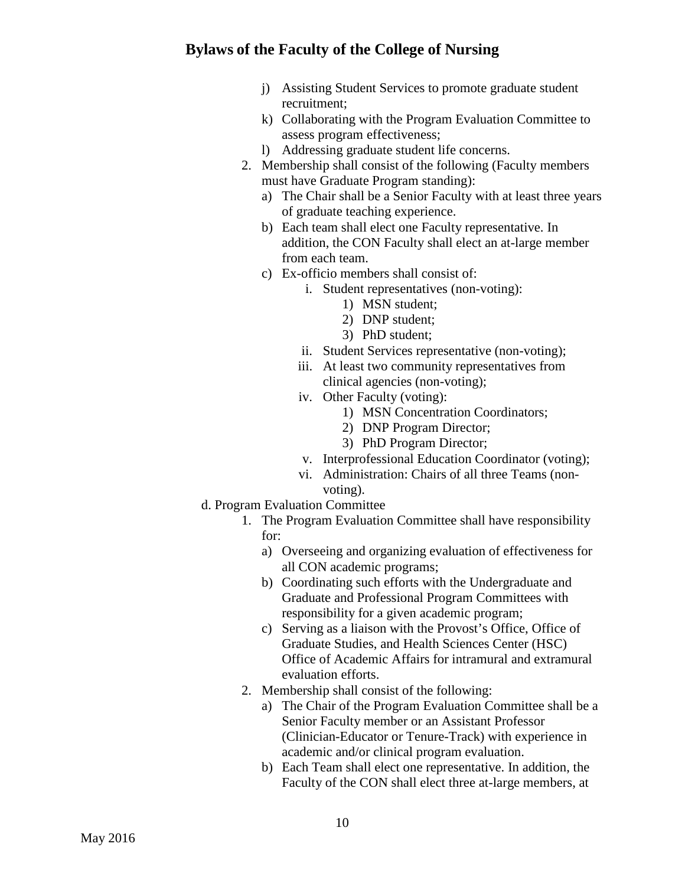- j) Assisting Student Services to promote graduate student recruitment;
- k) Collaborating with the Program Evaluation Committee to assess program effectiveness;
- l) Addressing graduate student life concerns.
- 2. Membership shall consist of the following (Faculty members must have Graduate Program standing):
	- a) The Chair shall be a Senior Faculty with at least three years of graduate teaching experience.
	- b) Each team shall elect one Faculty representative. In addition, the CON Faculty shall elect an at-large member from each team.
	- c) Ex-officio members shall consist of:
		- i. Student representatives (non-voting):
			- 1) MSN student;
			- 2) DNP student;
			- 3) PhD student;
		- ii. Student Services representative (non-voting);
		- iii. At least two community representatives from clinical agencies (non-voting);
		- iv. Other Faculty (voting):
			- 1) MSN Concentration Coordinators;
			- 2) DNP Program Director;
			- 3) PhD Program Director;
		- v. Interprofessional Education Coordinator (voting);
		- vi. Administration: Chairs of all three Teams (nonvoting).
- d. Program Evaluation Committee
	- 1. The Program Evaluation Committee shall have responsibility for:
		- a) Overseeing and organizing evaluation of effectiveness for all CON academic programs;
		- b) Coordinating such efforts with the Undergraduate and Graduate and Professional Program Committees with responsibility for a given academic program;
		- c) Serving as a liaison with the Provost's Office, Office of Graduate Studies, and Health Sciences Center (HSC) Office of Academic Affairs for intramural and extramural evaluation efforts.
	- 2. Membership shall consist of the following:
		- a) The Chair of the Program Evaluation Committee shall be a Senior Faculty member or an Assistant Professor (Clinician-Educator or Tenure-Track) with experience in academic and/or clinical program evaluation.
		- b) Each Team shall elect one representative. In addition, the Faculty of the CON shall elect three at-large members, at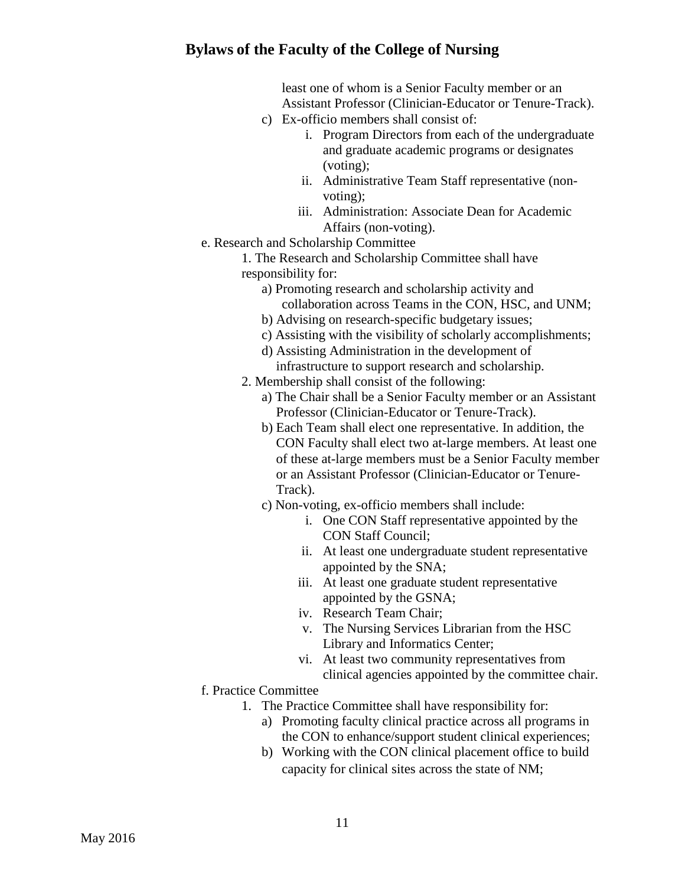least one of whom is a Senior Faculty member or an Assistant Professor (Clinician-Educator or Tenure-Track). c) Ex-officio members shall consist of:

- i. Program Directors from each of the undergraduate and graduate academic programs or designates (voting);
- ii. Administrative Team Staff representative (nonvoting);
- iii. Administration: Associate Dean for Academic Affairs (non-voting).
- e. Research and Scholarship Committee
	- 1. The Research and Scholarship Committee shall have responsibility for:
		- a) Promoting research and scholarship activity and collaboration across Teams in the CON, HSC, and UNM;
		- b) Advising on research-specific budgetary issues;
		- c) Assisting with the visibility of scholarly accomplishments;
		- d) Assisting Administration in the development of infrastructure to support research and scholarship.
	- 2. Membership shall consist of the following:
		- a) The Chair shall be a Senior Faculty member or an Assistant Professor (Clinician-Educator or Tenure-Track).
		- b) Each Team shall elect one representative. In addition, the CON Faculty shall elect two at-large members. At least one of these at-large members must be a Senior Faculty member or an Assistant Professor (Clinician-Educator or Tenure-Track).
		- c) Non-voting, ex-officio members shall include:
			- i. One CON Staff representative appointed by the CON Staff Council;
			- ii. At least one undergraduate student representative appointed by the SNA;
			- iii. At least one graduate student representative appointed by the GSNA;
			- iv. Research Team Chair;
			- v. The Nursing Services Librarian from the HSC Library and Informatics Center;
			- vi. At least two community representatives from clinical agencies appointed by the committee chair.

### f. Practice Committee

- 1. The Practice Committee shall have responsibility for:
	- a) Promoting faculty clinical practice across all programs in the CON to enhance/support student clinical experiences;
	- b) Working with the CON clinical placement office to build capacity for clinical sites across the state of NM;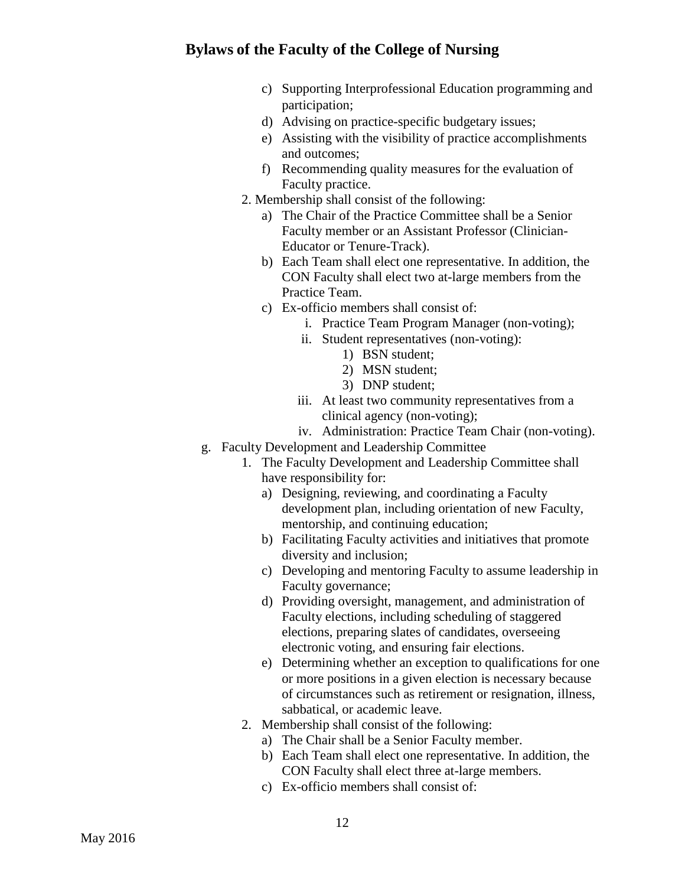- c) Supporting Interprofessional Education programming and participation;
- d) Advising on practice-specific budgetary issues;
- e) Assisting with the visibility of practice accomplishments and outcomes;
- f) Recommending quality measures for the evaluation of Faculty practice.
- 2. Membership shall consist of the following:
	- a) The Chair of the Practice Committee shall be a Senior Faculty member or an Assistant Professor (Clinician-Educator or Tenure-Track).
	- b) Each Team shall elect one representative. In addition, the CON Faculty shall elect two at-large members from the Practice Team.
	- c) Ex-officio members shall consist of:
		- i. Practice Team Program Manager (non-voting);
		- ii. Student representatives (non-voting):
			- 1) BSN student;
			- 2) MSN student;
			- 3) DNP student;
		- iii. At least two community representatives from a clinical agency (non-voting);
		- iv. Administration: Practice Team Chair (non-voting).
- g. Faculty Development and Leadership Committee
	- 1. The Faculty Development and Leadership Committee shall have responsibility for:
		- a) Designing, reviewing, and coordinating a Faculty development plan, including orientation of new Faculty, mentorship, and continuing education;
		- b) Facilitating Faculty activities and initiatives that promote diversity and inclusion;
		- c) Developing and mentoring Faculty to assume leadership in Faculty governance;
		- d) Providing oversight, management, and administration of Faculty elections, including scheduling of staggered elections, preparing slates of candidates, overseeing electronic voting, and ensuring fair elections.
		- e) Determining whether an exception to qualifications for one or more positions in a given election is necessary because of circumstances such as retirement or resignation, illness, sabbatical, or academic leave.
	- 2. Membership shall consist of the following:
		- a) The Chair shall be a Senior Faculty member.
		- b) Each Team shall elect one representative. In addition, the CON Faculty shall elect three at-large members.
		- c) Ex-officio members shall consist of: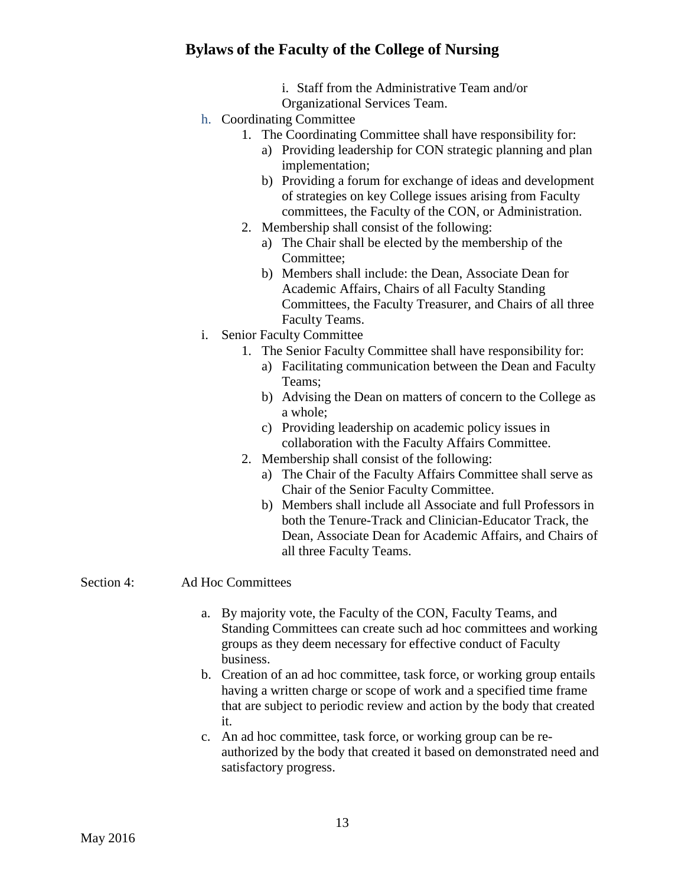- i. Staff from the Administrative Team and/or
- Organizational Services Team.
- h. Coordinating Committee
	- 1. The Coordinating Committee shall have responsibility for:
		- a) Providing leadership for CON strategic planning and plan implementation;
		- b) Providing a forum for exchange of ideas and development of strategies on key College issues arising from Faculty committees, the Faculty of the CON, or Administration.
	- 2. Membership shall consist of the following:
		- a) The Chair shall be elected by the membership of the Committee;
		- b) Members shall include: the Dean, Associate Dean for Academic Affairs, Chairs of all Faculty Standing Committees, the Faculty Treasurer, and Chairs of all three Faculty Teams.
- i. Senior Faculty Committee
	- 1. The Senior Faculty Committee shall have responsibility for:
		- a) Facilitating communication between the Dean and Faculty Teams;
		- b) Advising the Dean on matters of concern to the College as a whole;
		- c) Providing leadership on academic policy issues in collaboration with the Faculty Affairs Committee.
	- 2. Membership shall consist of the following:
		- a) The Chair of the Faculty Affairs Committee shall serve as Chair of the Senior Faculty Committee.
		- b) Members shall include all Associate and full Professors in both the Tenure-Track and Clinician-Educator Track, the Dean, Associate Dean for Academic Affairs, and Chairs of all three Faculty Teams.

Section 4: Ad Hoc Committees

- a. By majority vote, the Faculty of the CON, Faculty Teams, and Standing Committees can create such ad hoc committees and working groups as they deem necessary for effective conduct of Faculty business.
- b. Creation of an ad hoc committee, task force, or working group entails having a written charge or scope of work and a specified time frame that are subject to periodic review and action by the body that created it.
- c. An ad hoc committee, task force, or working group can be reauthorized by the body that created it based on demonstrated need and satisfactory progress.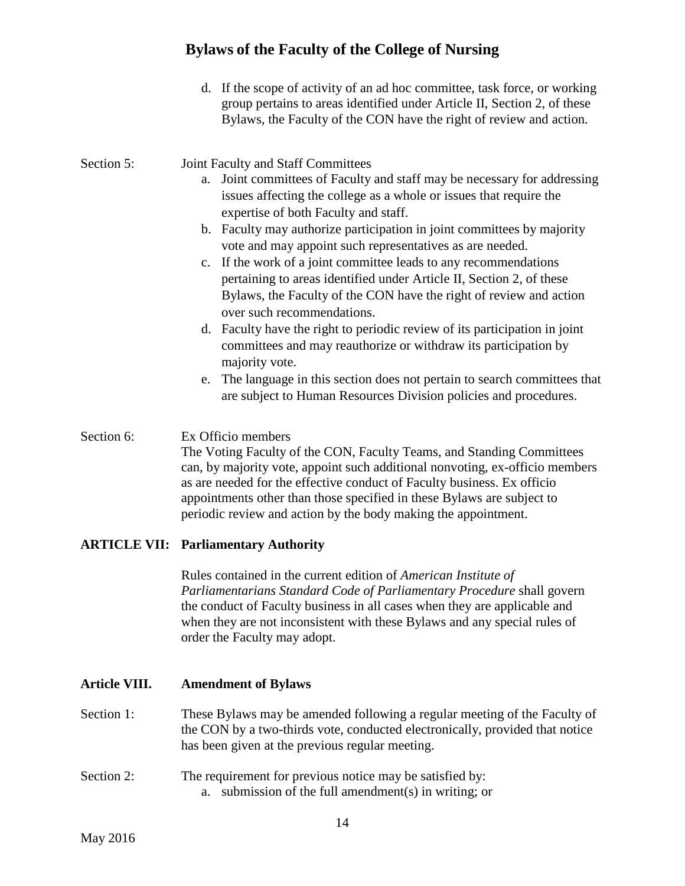d. If the scope of activity of an ad hoc committee, task force, or working group pertains to areas identified under Article II, Section 2, of these Bylaws, the Faculty of the CON have the right of review and action.

#### Section 5: Joint Faculty and Staff Committees

- a. Joint committees of Faculty and staff may be necessary for addressing issues affecting the college as a whole or issues that require the expertise of both Faculty and staff.
- b. Faculty may authorize participation in joint committees by majority vote and may appoint such representatives as are needed.
- c. If the work of a joint committee leads to any recommendations pertaining to areas identified under Article II, Section 2, of these Bylaws, the Faculty of the CON have the right of review and action over such recommendations.
- d. Faculty have the right to periodic review of its participation in joint committees and may reauthorize or withdraw its participation by majority vote.
- e. The language in this section does not pertain to search committees that are subject to Human Resources Division policies and procedures.

#### Section 6: Ex Officio members

The Voting Faculty of the CON, Faculty Teams, and Standing Committees can, by majority vote, appoint such additional nonvoting, ex-officio members as are needed for the effective conduct of Faculty business. Ex officio appointments other than those specified in these Bylaws are subject to periodic review and action by the body making the appointment.

#### **ARTICLE VII: Parliamentary Authority**

Rules contained in the current edition of *American Institute of Parliamentarians Standard Code of Parliamentary Procedure* shall govern the conduct of Faculty business in all cases when they are applicable and when they are not inconsistent with these Bylaws and any special rules of order the Faculty may adopt.

#### **Article VIII. Amendment of Bylaws**

- Section 1: These Bylaws may be amended following a regular meeting of the Faculty of the CON by a two-thirds vote, conducted electronically, provided that notice has been given at the previous regular meeting.
- Section 2: The requirement for previous notice may be satisfied by: a. submission of the full amendment(s) in writing; or